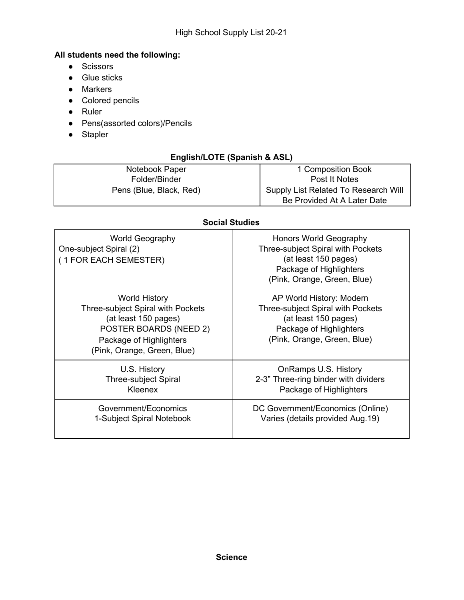## **All students need the following:**

- Scissors
- Glue sticks
- Markers
- Colored pencils
- Ruler
- Pens(assorted colors)/Pencils
- Stapler

# **English/LOTE (Spanish & ASL)**

| Notebook Paper          | 1 Composition Book                   |
|-------------------------|--------------------------------------|
| Folder/Binder           | Post It Notes                        |
| Pens (Blue, Black, Red) | Supply List Related To Research Will |
|                         | Be Provided At A Later Date          |

### **Social Studies**

| <b>World Geography</b><br>One-subject Spiral (2)<br>(1 FOR EACH SEMESTER)                                                                                                    | Honors World Geography<br>Three-subject Spiral with Pockets<br>(at least 150 pages)<br>Package of Highlighters<br>(Pink, Orange, Green, Blue)   |
|------------------------------------------------------------------------------------------------------------------------------------------------------------------------------|-------------------------------------------------------------------------------------------------------------------------------------------------|
| <b>World History</b><br>Three-subject Spiral with Pockets<br>(at least 150 pages)<br><b>POSTER BOARDS (NEED 2)</b><br>Package of Highlighters<br>(Pink, Orange, Green, Blue) | AP World History: Modern<br>Three-subject Spiral with Pockets<br>(at least 150 pages)<br>Package of Highlighters<br>(Pink, Orange, Green, Blue) |
| U.S. History                                                                                                                                                                 | OnRamps U.S. History                                                                                                                            |
| <b>Three-subject Spiral</b>                                                                                                                                                  | 2-3" Three-ring binder with dividers                                                                                                            |
| Kleenex                                                                                                                                                                      | Package of Highlighters                                                                                                                         |
| Government/Economics                                                                                                                                                         | DC Government/Economics (Online)                                                                                                                |
| 1-Subject Spiral Notebook                                                                                                                                                    | Varies (details provided Aug. 19)                                                                                                               |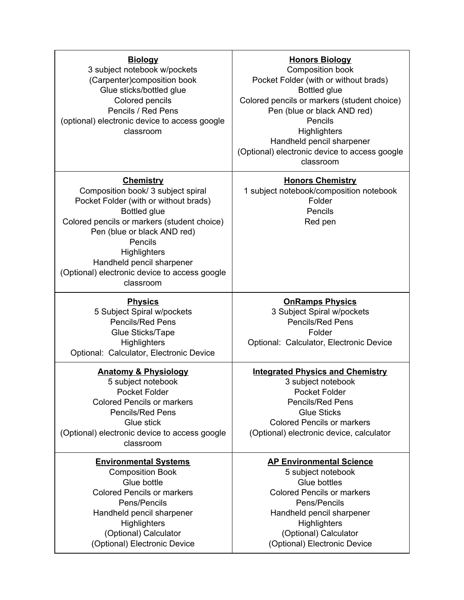| <b>Biology</b><br>3 subject notebook w/pockets<br>(Carpenter)composition book<br>Glue sticks/bottled glue<br>Colored pencils<br>Pencils / Red Pens<br>(optional) electronic device to access google<br>classroom                                                                                                           | <b>Honors Biology</b><br>Composition book<br>Pocket Folder (with or without brads)<br><b>Bottled glue</b><br>Colored pencils or markers (student choice)<br>Pen (blue or black AND red)<br>Pencils<br><b>Highlighters</b><br>Handheld pencil sharpener<br>(Optional) electronic device to access google<br>classroom |
|----------------------------------------------------------------------------------------------------------------------------------------------------------------------------------------------------------------------------------------------------------------------------------------------------------------------------|----------------------------------------------------------------------------------------------------------------------------------------------------------------------------------------------------------------------------------------------------------------------------------------------------------------------|
| <b>Chemistry</b><br>Composition book/ 3 subject spiral<br>Pocket Folder (with or without brads)<br><b>Bottled glue</b><br>Colored pencils or markers (student choice)<br>Pen (blue or black AND red)<br>Pencils<br>Highlighters<br>Handheld pencil sharpener<br>(Optional) electronic device to access google<br>classroom | <b>Honors Chemistry</b><br>1 subject notebook/composition notebook<br>Folder<br>Pencils<br>Red pen                                                                                                                                                                                                                   |
| <b>Physics</b><br>5 Subject Spiral w/pockets<br><b>Pencils/Red Pens</b><br>Glue Sticks/Tape<br>Highlighters<br>Optional: Calculator, Electronic Device                                                                                                                                                                     | <b>OnRamps Physics</b><br>3 Subject Spiral w/pockets<br><b>Pencils/Red Pens</b><br>Folder<br>Optional: Calculator, Electronic Device                                                                                                                                                                                 |
| <b>Anatomy &amp; Physiology</b><br>5 subject notebook<br><b>Pocket Folder</b><br><b>Colored Pencils or markers</b><br><b>Pencils/Red Pens</b><br>Glue stick<br>(Optional) electronic device to access google<br>classroom                                                                                                  | <b>Integrated Physics and Chemistry</b><br>3 subject notebook<br>Pocket Folder<br><b>Pencils/Red Pens</b><br><b>Glue Sticks</b><br><b>Colored Pencils or markers</b><br>(Optional) electronic device, calculator                                                                                                     |
| <b>Environmental Systems</b><br><b>Composition Book</b><br>Glue bottle<br><b>Colored Pencils or markers</b><br>Pens/Pencils<br>Handheld pencil sharpener<br><b>Highlighters</b><br>(Optional) Calculator<br>(Optional) Electronic Device                                                                                   | <b>AP Environmental Science</b><br>5 subject notebook<br>Glue bottles<br><b>Colored Pencils or markers</b><br>Pens/Pencils<br>Handheld pencil sharpener<br><b>Highlighters</b><br>(Optional) Calculator<br>(Optional) Electronic Device                                                                              |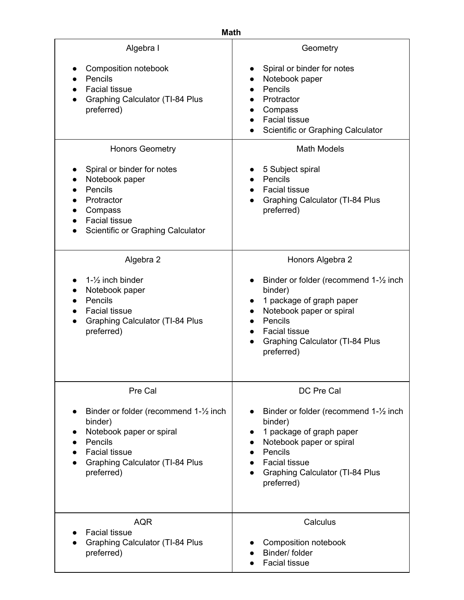| <b>Math</b>                                                                                                                                                              |                                                                                                                                                                                                                                             |  |
|--------------------------------------------------------------------------------------------------------------------------------------------------------------------------|---------------------------------------------------------------------------------------------------------------------------------------------------------------------------------------------------------------------------------------------|--|
| Algebra I                                                                                                                                                                | Geometry                                                                                                                                                                                                                                    |  |
| Composition notebook<br>Pencils<br><b>Facial tissue</b><br><b>Graphing Calculator (TI-84 Plus</b><br>preferred)                                                          | Spiral or binder for notes<br>$\bullet$<br>Notebook paper<br>Pencils<br>Protractor<br>Compass<br>$\bullet$<br><b>Facial tissue</b><br>Scientific or Graphing Calculator                                                                     |  |
| <b>Honors Geometry</b>                                                                                                                                                   | <b>Math Models</b>                                                                                                                                                                                                                          |  |
| Spiral or binder for notes<br>Notebook paper<br>Pencils<br>Protractor<br>Compass<br><b>Facial tissue</b><br>Scientific or Graphing Calculator                            | 5 Subject spiral<br>Pencils<br><b>Facial tissue</b><br><b>Graphing Calculator (TI-84 Plus</b><br>preferred)                                                                                                                                 |  |
| Algebra 2                                                                                                                                                                | Honors Algebra 2                                                                                                                                                                                                                            |  |
| $1 - \frac{1}{2}$ inch binder<br>Notebook paper<br>Pencils<br><b>Facial tissue</b><br><b>Graphing Calculator (TI-84 Plus</b><br>preferred)                               | Binder or folder (recommend 1-1/2 inch<br>$\bullet$<br>binder)<br>1 package of graph paper<br>$\bullet$<br>Notebook paper or spiral<br>Pencils<br>$\bullet$<br><b>Facial tissue</b><br><b>Graphing Calculator (TI-84 Plus</b><br>preferred) |  |
| Pre Cal                                                                                                                                                                  | DC Pre Cal                                                                                                                                                                                                                                  |  |
| Binder or folder (recommend 1-1/2 inch<br>binder)<br>Notebook paper or spiral<br>Pencils<br><b>Facial tissue</b><br><b>Graphing Calculator (TI-84 Plus</b><br>preferred) | Binder or folder (recommend 1-1/2 inch<br>binder)<br>1 package of graph paper<br>Notebook paper or spiral<br>Pencils<br><b>Facial tissue</b><br><b>Graphing Calculator (TI-84 Plus</b><br>preferred)                                        |  |
| <b>AQR</b><br><b>Facial tissue</b><br><b>Graphing Calculator (TI-84 Plus</b><br>preferred)                                                                               | Calculus<br>Composition notebook<br>Binder/ folder<br><b>Facial tissue</b>                                                                                                                                                                  |  |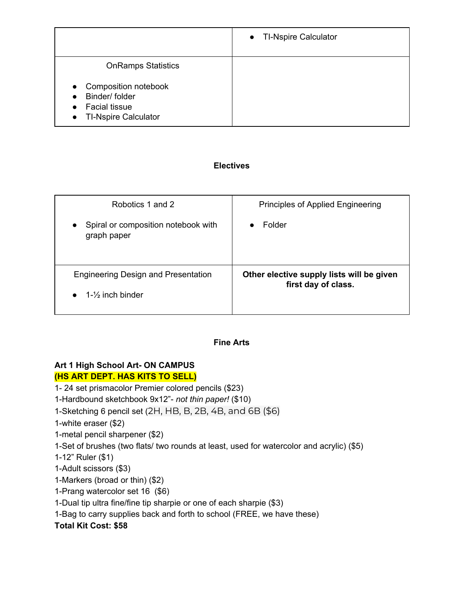|                                                                                                                                     | • TI-Nspire Calculator |
|-------------------------------------------------------------------------------------------------------------------------------------|------------------------|
| <b>OnRamps Statistics</b>                                                                                                           |                        |
| Composition notebook<br>$\bullet$<br>Binder/folder<br>$\bullet$<br><b>Facial tissue</b><br><b>TI-Nspire Calculator</b><br>$\bullet$ |                        |

### **Electives**

| Robotics 1 and 2                                                    | Principles of Applied Engineering                                |
|---------------------------------------------------------------------|------------------------------------------------------------------|
| Spiral or composition notebook with<br>$\bullet$<br>graph paper     | Folder                                                           |
| Engineering Design and Presentation<br>1- $\frac{1}{2}$ inch binder | Other elective supply lists will be given<br>first day of class. |
|                                                                     |                                                                  |

### **Fine Arts**

### **Art 1 High School Art- ON CAMPUS (HS ART DEPT. HAS KITS TO SELL)**

1- 24 set prismacolor Premier colored pencils (\$23)

1-Hardbound sketchbook 9x12"- *not thin paper!* (\$10)

1-Sketching 6 pencil set (2H, HB, B, 2B, 4B, and 6B (\$6)

1-white eraser (\$2)

1-metal pencil sharpener (\$2)

1-Set of brushes (two flats/ two rounds at least, used for watercolor and acrylic) (\$5)

1-12" Ruler (\$1)

1-Adult scissors (\$3)

1-Markers (broad or thin) (\$2)

1-Prang watercolor set 16 (\$6)

1-Dual tip ultra fine/fine tip sharpie or one of each sharpie (\$3)

1-Bag to carry supplies back and forth to school (FREE, we have these)

**Total Kit Cost: \$58**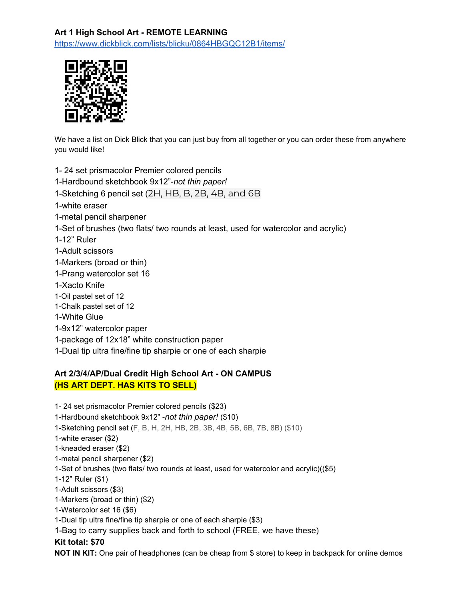# **Art 1 High School Art - REMOTE LEARNING**

<https://www.dickblick.com/lists/blicku/0864HBGQC12B1/items/>



We have a list on Dick Blick that you can just buy from all together or you can order these from anywhere you would like!

- 1- 24 set prismacolor Premier colored pencils
- 1-Hardbound sketchbook 9x12"-*not thin paper!*
- 1-Sketching 6 pencil set (2H, HB, B, 2B, 4B, and 6B
- 1-white eraser
- 1-metal pencil sharpener
- 1-Set of brushes (two flats/ two rounds at least, used for watercolor and acrylic)
- 1-12" Ruler
- 1-Adult scissors
- 1-Markers (broad or thin)
- 1-Prang watercolor set 16
- 1-Xacto Knife
- 1-Oil pastel set of 12
- 1-Chalk pastel set of 12
- 1-White Glue
- 1-9x12" watercolor paper
- 1-package of 12x18" white construction paper
- 1-Dual tip ultra fine/fine tip sharpie or one of each sharpie

# **Art 2/3/4/AP/Dual Credit High School Art - ON CAMPUS (HS ART DEPT. HAS KITS TO SELL)**

1- 24 set prismacolor Premier colored pencils (\$23) 1-Hardbound sketchbook 9x12" -*not thin paper!* (\$10) 1-Sketching pencil set (F, B, H, 2H, HB, 2B, 3B, 4B, 5B, 6B, 7B, 8B) (\$10) 1-white eraser (\$2) 1-kneaded eraser (\$2) 1-metal pencil sharpener (\$2) 1-Set of brushes (two flats/ two rounds at least, used for watercolor and acrylic)((\$5) 1-12" Ruler (\$1) 1-Adult scissors (\$3) 1-Markers (broad or thin) (\$2) 1-Watercolor set 16 (\$6) 1-Dual tip ultra fine/fine tip sharpie or one of each sharpie (\$3) 1-Bag to carry supplies back and forth to school (FREE, we have these) **Kit total: \$70**

**NOT IN KIT:** One pair of headphones (can be cheap from \$ store) to keep in backpack for online demos